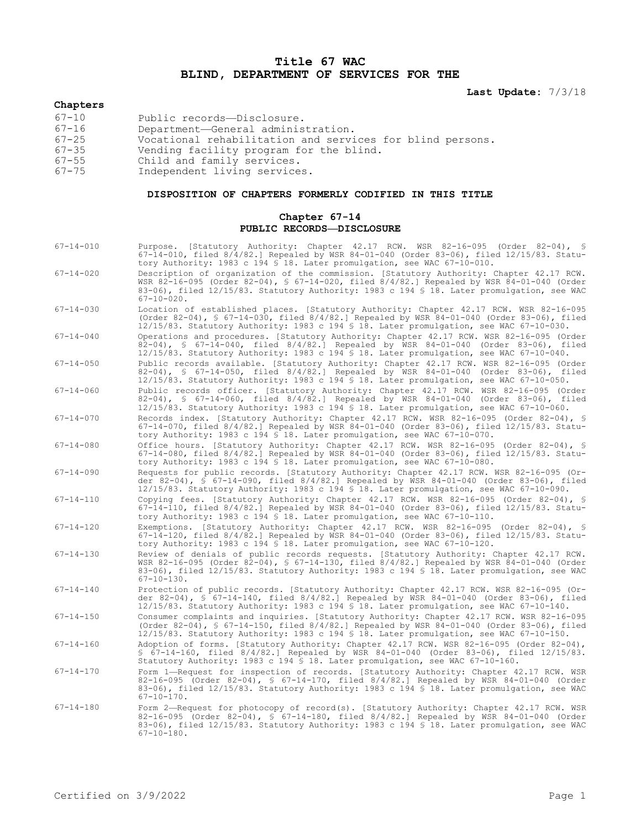## **Title 67 WAC BLIND, DEPARTMENT OF SERVICES FOR THE**

### **Last Update:** 7/3/18

# **Chapters**

| $67 - 10$ | Public records-Disclosure.                                |
|-----------|-----------------------------------------------------------|
| $67 - 16$ | Department-General administration.                        |
| $67 - 25$ | Vocational rehabilitation and services for blind persons. |
| $67 - 35$ | Vending facility program for the blind.                   |
| $67 - 55$ | Child and family services.                                |
| $67 - 75$ | Independent living services.                              |

#### **DISPOSITION OF CHAPTERS FORMERLY CODIFIED IN THIS TITLE**

#### **Chapter 67-14 PUBLIC RECORDS—DISCLOSURE**

- 67-14-010 Purpose. [Statutory Authority: Chapter 42.17 RCW. WSR 82-16-095 (Order 82-04), § 67-14-010, filed 8/4/82.] Repealed by WSR 84-01-040 (Order 83-06), filed 12/15/83. Statutory Authority: 1983 c 194 § 18. Later promulgation, see WAC 67-10-010.
- 67-14-020 Description of organization of the commission. [Statutory Authority: Chapter 42.17 RCW. WSR 82-16-095 (Order 82-04), § 67-14-020, filed 8/4/82.] Repealed by WSR 84-01-040 (Order 83-06), filed 12/15/83. Statutory Authority: 1983 c 194 § 18. Later promulgation, see WAC  $67-10-020$ .
- 67-14-030 Location of established places. [Statutory Authority: Chapter 42.17 RCW. WSR 82-16-095 (Order 82-04), § 67-14-030, filed 8/4/82.] Repealed by WSR 84-01-040 (Order 83-06), filed 12/15/83. Statutory Authority: 1983 c 194 § 18. Later promulgation, see WAC 67-10-030.

67-14-040 Operations and procedures. [Statutory Authority: Chapter 42.17 RCW. WSR 82-16-095 (Order 82-04), § 67-14-040, filed 8/4/82.] Repealed by WSR 84-01-040 (Order 83-06), filed 12/15/83. Statutory Authority: 1983 c 194 § 18. Later promulgation, see WAC 67-10-040.

- 67-14-050 Public records available. [Statutory Authority: Chapter 42.17 RCW. WSR 82-16-095 (Order 82-04), § 67-14-050, filed 8/4/82.] Repealed by WSR 84-01-040 (Order 83-06), filed 12/15/83. Statutory Authority: 1983 c 194 § 18. Later promulgation, see WAC 67-10-050.
- 67-14-060 Public records officer. [Statutory Authority: Chapter 42.17 RCW. WSR 82-16-095 (Order 82-04), § 67-14-060, filed 8/4/82.] Repealed by WSR 84-01-040 (Order 83-06), filed 12/15/83. Statutory Authority: 1983 c 194 § 18. Later promulgation, see WAC 67-10-060.
- 67-14-070 Records index. [Statutory Authority: Chapter 42.17 RCW. WSR 82-16-095 (Order 82-04), § 67-14-070, filed 8/4/82.] Repealed by WSR 84-01-040 (Order 83-06), filed 12/15/83. Statutory Authority: 1983 c 194 § 18. Later promulgation, see WAC 67-10-070.
- 67-14-080 Office hours. [Statutory Authority: Chapter 42.17 RCW. WSR 82-16-095 (Order 82-04), § 67-14-080, filed 8/4/82.] Repealed by WSR 84-01-040 (Order 83-06), filed 12/15/83. Statutory Authority: 1983 c 194 § 18. Later promulgation, see WAC 67-10-080.
- 67-14-090 Requests for public records. [Statutory Authority: Chapter 42.17 RCW. WSR 82-16-095 (Order 82-04), § 67-14-090, filed 8/4/82.] Repealed by WSR 84-01-040 (Order 83-06), filed 12/15/83. Statutory Authority: 1983 c 194 § 18. Later promulgation, see WAC 67-10-090.
- 67-14-110 Copying fees. [Statutory Authority: Chapter 42.17 RCW. WSR 82-16-095 (Order 82-04), § 67-14-110, filed 8/4/82.] Repealed by WSR 84-01-040 (Order 83-06), filed 12/15/83. Statutory Authority: 1983 c 194 § 18. Later promulgation, see WAC 67-10-110.
- 67-14-120 Exemptions. [Statutory Authority: Chapter 42.17 RCW. WSR 82-16-095 (Order 82-04), § 67-14-120, filed 8/4/82.] Repealed by WSR 84-01-040 (Order 83-06), filed 12/15/83. Statutory Authority: 1983 c 194 § 18. Later promulgation, see WAC 67-10-120.
- 67-14-130 Review of denials of public records requests. [Statutory Authority: Chapter 42.17 RCW. WSR 82-16-095 (Order 82-04), § 67-14-130, filed 8/4/82.] Repealed by WSR 84-01-040 (Order 83-06), filed 12/15/83. Statutory Authority: 1983 c 194 § 18. Later promulgation, see WAC  $67-10-130$ .
- 67-14-140 Protection of public records. [Statutory Authority: Chapter 42.17 RCW. WSR 82-16-095 (Order 82-04), § 67-14-140, filed 8/4/82.] Repealed by WSR 84-01-040 (Order 83-06), filed 12/15/83. Statutory Authority: 1983 c 194 § 18. Later promulgation, see WAC 67-10-140.
- 67-14-150 Consumer complaints and inquiries. [Statutory Authority: Chapter 42.17 RCW. WSR 82-16-095 (Order 82-04), § 67-14-150, filed 8/4/82.] Repealed by WSR 84-01-040 (Order 83-06), filed 12/15/83. Statutory Authority: 1983 c 194 § 18. Later promulgation, see WAC 67-10-150.
- 67-14-160 Adoption of forms. [Statutory Authority: Chapter 42.17 RCW. WSR 82-16-095 (Order 82-04), § 67-14-160, filed 8/4/82.] Repealed by WSR 84-01-040 (Order 83-06), filed 12/15/83. Statutory Authority: 1983 c 194 § 18. Later promulgation, see WAC 67-10-160.
- 67-14-170 Form 1—Request for inspection of records. [Statutory Authority: Chapter 42.17 RCW. WSR 82-16-095 (Order 82-04), § 67-14-170, filed 8/4/82.] Repealed by WSR 84-01-040 (Order 83-06), filed 12/15/83. Statutory Authority: 1983 c 194 § 18. Later promulgation, see WAC 67-10-170.
- 67-14-180 Form 2—Request for photocopy of record(s). [Statutory Authority: Chapter 42.17 RCW. WSR 82-16-095 (Order 82-04), § 67-14-180, filed 8/4/82.] Repealed by WSR 84-01-040 (Order 83-06), filed 12/15/83. Statutory Authority: 1983 c 194 § 18. Later promulgation, see WAC 67-10-180.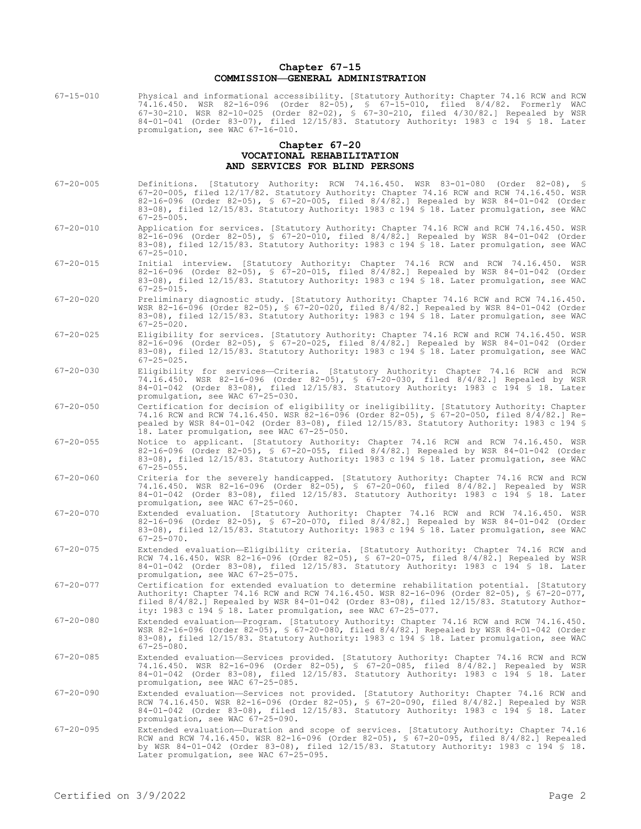## **Chapter 67-15 COMMISSION—GENERAL ADMINISTRATION**

| 67-15-010 | Physical and informational accessibility. [Statutory Authority: Chapter 74.16 RCW and RCW |
|-----------|-------------------------------------------------------------------------------------------|
|           | 74.16.450. WSR 82-16-096 (Order 82-05), § 67-15-010, filed 8/4/82. Formerly WAC           |
|           | 67-30-210. WSR 82-10-025 (Order 82-02), § 67-30-210, filed 4/30/82.] Repealed by WSR      |
|           | 84-01-041 (Order 83-07), filed 12/15/83. Statutory Authority: 1983 c 194 \$ 18. Later     |
|           | promulgation, see WAC 67-16-010.                                                          |

#### **Chapter 67-20 VOCATIONAL REHABILITATION AND SERVICES FOR BLIND PERSONS**

| $67 - 20 - 005$ | Definitions. [Statutory Authority: RCW 74.16.450. WSR 83-01-080 (Order 82-08), §<br>67-20-005, filed 12/17/82. Statutory Authority: Chapter 74.16 RCW and RCW 74.16.450. WSR<br>82-16-096 (Order 82-05), \$ 67-20-005, filed 8/4/82.] Repealed by WSR 84-01-042 (Order<br>83-08), filed 12/15/83. Statutory Authority: 1983 c 194 § 18. Later promulgation, see WAC<br>$67 - 25 - 005$ . |
|-----------------|------------------------------------------------------------------------------------------------------------------------------------------------------------------------------------------------------------------------------------------------------------------------------------------------------------------------------------------------------------------------------------------|
| $67 - 20 - 010$ | Application for services. [Statutory Authority: Chapter 74.16 RCW and RCW 74.16.450. WSR<br>82-16-096 (Order 82-05), § 67-20-010, filed 8/4/82.] Repealed by WSR 84-01-042 (Order<br>83-08), filed 12/15/83. Statutory Authority: 1983 c 194 \$ 18. Later promulgation, see WAC<br>$67 - 25 - 010$ .                                                                                     |
| $67 - 20 - 015$ | Initial interview. [Statutory Authority: Chapter 74.16 RCW and RCW 74.16.450. WSR<br>82-16-096 (Order 82-05), § 67-20-015, filed $8/4/82$ . Repealed by WSR 84-01-042 (Order<br>83-08), filed 12/15/83. Statutory Authority: 1983 c 194 \$ 18. Later promulgation, see WAC<br>$67 - 25 - 015$ .                                                                                          |
| $67 - 20 - 020$ | Preliminary diagnostic study. [Statutory Authority: Chapter 74.16 RCW and RCW 74.16.450.<br>WSR 82-16-096 (Order 82-05), § 67-20-020, filed 8/4/82.] Repealed by WSR 84-01-042 (Order<br>83-08), filed 12/15/83. Statutory Authority: 1983 c 194 § 18. Later promulgation, see WAC<br>$67 - 25 - 020$ .                                                                                  |
| $67 - 20 - 025$ | Eligibility for services. [Statutory Authority: Chapter 74.16 RCW and RCW 74.16.450. WSR<br>82-16-096 (Order 82-05), § 67-20-025, filed $8/4/82$ .] Repealed by WSR 84-01-042 (Order<br>83-08), filed 12/15/83. Statutory Authority: 1983 c 194 § 18. Later promulgation, see WAC<br>$67 - 25 - 025$ .                                                                                   |
| $67 - 20 - 030$ | Eligibility for services-Criteria. [Statutory Authority: Chapter 74.16 RCW and RCW<br>74.16.450. WSR 82-16-096 (Order 82-05), § 67-20-030, filed 8/4/82.] Repealed by WSR<br>84-01-042 (Order 83-08), filed 12/15/83. Statutory Authority: 1983 c 194 § 18. Later<br>promulgation, see WAC 67-25-030.                                                                                    |
| $67 - 20 - 050$ | Certification for decision of eligibility or ineligibility. [Statutory Authority: Chapter<br>74.16 RCW and RCW 74.16.450. WSR 82-16-096 (Order 82-05), § 67-20-050, filed 8/4/82.] Re-<br>pealed by WSR 84-01-042 (Order 83-08), filed 12/15/83. Statutory Authority: 1983 c 194 \$<br>18. Later promulgation, see WAC 67-25-050.                                                        |
| $67 - 20 - 055$ | Notice to applicant. [Statutory Authority: Chapter 74.16 RCW and RCW 74.16.450. WSR<br>82-16-096 (Order 82-05), § 67-20-055, filed 8/4/82.] Repealed by WSR 84-01-042 (Order<br>83-08), filed 12/15/83. Statutory Authority: 1983 c 194 § 18. Later promulgation, see WAC<br>$67 - 25 - 055$ .                                                                                           |
| $67 - 20 - 060$ | Criteria for the severely handicapped. [Statutory Authority: Chapter 74.16 RCW and RCW<br>74.16.450. WSR 82-16-096 (Order 82-05), § 67-20-060, filed 8/4/82.] Repealed by WSR<br>84-01-042 (Order 83-08), filed 12/15/83. Statutory Authority: 1983 c 194 § 18. Later<br>promulgation, see WAC 67-25-060.                                                                                |
| $67 - 20 - 070$ | Extended evaluation. [Statutory Authority: Chapter 74.16 RCW and RCW 74.16.450. WSR<br>82-16-096 (Order 82-05), § 67-20-070, filed $8/4/82$ .] Repealed by WSR 84-01-042 (Order<br>83-08), filed 12/15/83. Statutory Authority: 1983 c 194 § 18. Later promulgation, see WAC<br>$67 - 25 - 070$ .                                                                                        |
| $67 - 20 - 075$ | Extended evaluation-Eligibility criteria. [Statutory Authority: Chapter 74.16 RCW and<br>RCW 74.16.450. WSR 82-16-096 (Order 82-05), § 67-20-075, filed 8/4/82.] Repealed by WSR<br>84-01-042 (Order 83-08), filed 12/15/83. Statutory Authority: 1983 c 194 § 18. Later<br>promulgation, see WAC 67-25-075.                                                                             |
| $67 - 20 - 077$ | Certification for extended evaluation to determine rehabilitation potential. [Statutory<br>Authority: Chapter 74.16 RCW and RCW 74.16.450. WSR 82-16-096 (Order 82-05), § 67-20-077,<br>filed 8/4/82.] Repealed by WSR 84-01-042 (Order 83-08), filed 12/15/83. Statutory Author-<br>ity: 1983 c 194 \$ 18. Later promulgation, see WAC $67-25-077$ .                                    |
| $67 - 20 - 080$ | Extended evaluation-Program. [Statutory Authority: Chapter 74.16 RCW and RCW 74.16.450.<br>WSR 82-16-096 (Order 82-05), § 67-20-080, filed 8/4/82.] Repealed by WSR 84-01-042 (Order<br>83-08), filed 12/15/83. Statutory Authority: 1983 c 194 \$ 18. Later promulgation, see WAC<br>67-25-080.                                                                                         |
| $67 - 20 - 085$ | Extended evaluation-Services provided. [Statutory Authority: Chapter 74.16 RCW and RCW<br>74.16.450. WSR 82-16-096 (Order 82-05), § 67-20-085, filed 8/4/82.] Repealed by WSR<br>84-01-042 (Order 83-08), filed 12/15/83. Statutory Authority: 1983 c 194 § 18. Later<br>promulgation, see WAC 67-25-085.                                                                                |
| $67 - 20 - 090$ | Extended evaluation-Services not provided. [Statutory Authority: Chapter 74.16 RCW and<br>RCW 74.16.450. WSR 82-16-096 (Order 82-05), § 67-20-090, filed 8/4/82.] Repealed by WSR<br>84-01-042 (Order 83-08), filed 12/15/83. Statutory Authority: 1983 c 194 § 18. Later<br>promulgation, see WAC 67-25-090.                                                                            |
| $67 - 20 - 095$ | Extended evaluation-Duration and scope of services. [Statutory Authority: Chapter 74.16<br>RCW and RCW 74.16.450. WSR 82-16-096 (Order 82-05), § 67-20-095, filed 8/4/82.] Repealed<br>by WSR 84-01-042 (Order 83-08), filed 12/15/83. Statutory Authority: 1983 c 194 § 18.<br>Later promulgation, see WAC 67-25-095.                                                                   |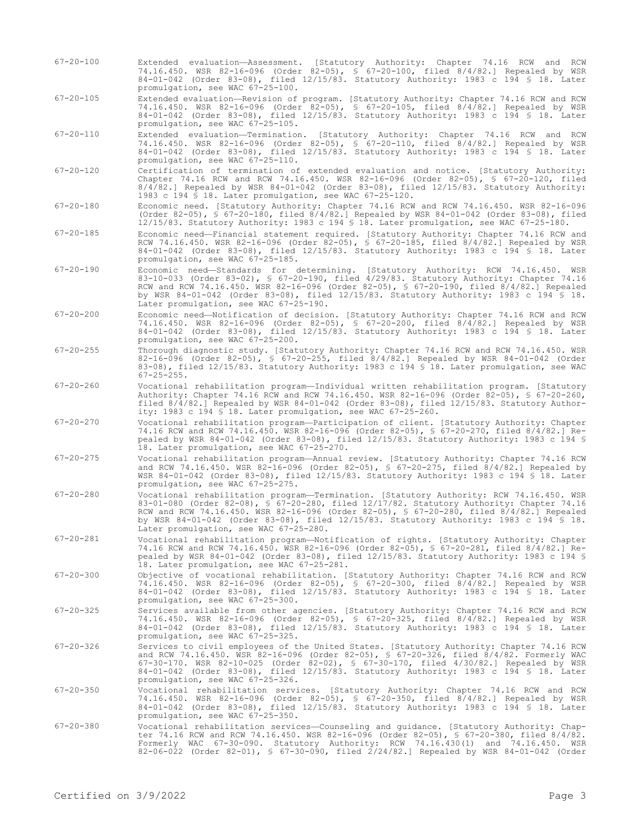- 67-20-100 Extended evaluation—Assessment. [Statutory Authority: Chapter 74.16 RCW and RCW 74.16.450. WSR 82-16-096 (Order 82-05), § 67-20-100, filed 8/4/82.] Repealed by WSR 84-01-042 (Order 83-08), filed 12/15/83. Statutory Authority: 1983 c 194 § 18. Later promulgation, see WAC 67-25-100.
- 67-20-105 Extended evaluation—Revision of program. [Statutory Authority: Chapter 74.16 RCW and RCW 74.16.450. WSR 82-16-096 (Order 82-05), § 67-20-105, filed 8/4/82.] Repealed by WSR 84-01-042 (Order 83-08), filed 12/15/83. Statutory Authority: 1983 c 194 § 18. Later promulgation, see WAC 67-25-105.
- 67-20-110 Extended evaluation—Termination. [Statutory Authority: Chapter 74.16 RCW and RCW 74.16.450. WSR 82-16-096 (Order 82-05), § 67-20-110, filed 8/4/82.] Repealed by WSR 84-01-042 (Order 83-08), filed 12/15/83. Statutory Authority: 1983 c 194 § 18. Later promulgation, see WAC 67-25-110.
- 67-20-120 Certification of termination of extended evaluation and notice. [Statutory Authority: Chapter 74.16 RCW and RCW 74.16.450. WSR 82-16-096 (Order 82-05), § 67-20-120, filed 8/4/82.] Repealed by WSR 84-01-042 (Order 83-08), filed 12/15/83. Statutory Authority: 1983 c 194 § 18. Later promulgation, see WAC 67-25-120.
- 67-20-180 Economic need. [Statutory Authority: Chapter 74.16 RCW and RCW 74.16.450. WSR 82-16-096 (Order 82-05), § 67-20-180, filed 8/4/82.] Repealed by WSR 84-01-042 (Order 83-08), filed 12/15/83. Statutory Authority: 1983 c 194 § 18. Later promulgation, see WAC 67-25-180.
- 67-20-185 Economic need—Financial statement required. [Statutory Authority: Chapter 74.16 RCW and RCW 74.16.450. WSR 82-16-096 (Order 82-05), § 67-20-185, filed 8/4/82.] Repealed by WSR 84-01-042 (Order 83-08), filed 12/15/83. Statutory Authority: 1983 c 194 § 18. Later promulgation, see WAC 67-25-185.
- 67-20-190 Economic need—Standards for determining. [Statutory Authority: RCW 74.16.450. WSR 83-10-033 (Order 83-02), § 67-20-190, filed 4/29/83. Statutory Authority: Chapter 74.16 RCW and RCW 74.16.450. WSR 82-16-096 (Order 82-05), § 67-20-190, filed 8/4/82.] Repealed by WSR 84-01-042 (Order 83-08), filed 12/15/83. Statutory Authority: 1983 c 194 § 18. Later promulgation, see WAC 67-25-190.
- 67-20-200 Economic need—Notification of decision. [Statutory Authority: Chapter 74.16 RCW and RCW 74.16.450. WSR 82-16-096 (Order 82-05), § 67-20-200, filed 8/4/82.] Repealed by WSR 84-01-042 (Order 83-08), filed 12/15/83. Statutory Authority: 1983 c 194 § 18. Later promulgation, see WAC 67-25-200.
- 67-20-255 Thorough diagnostic study. [Statutory Authority: Chapter 74.16 RCW and RCW 74.16.450. WSR 82-16-096 (Order 82-05), § 67-20-255, filed 8/4/82.] Repealed by WSR 84-01-042 (Order 83-08), filed 12/15/83. Statutory Authority: 1983 c 194 § 18. Later promulgation, see WAC  $67 - 25 - 255$ .
- 67-20-260 Vocational rehabilitation program—Individual written rehabilitation program. [Statutory Authority: Chapter 74.16 RCW and RCW 74.16.450. WSR 82-16-096 (Order 82-05), § 67-20-260, filed 8/4/82.] Repealed by WSR 84-01-042 (Order 83-08), filed 12/15/83. Statutory Authority: 1983 c 194 § 18. Later promulgation, see WAC 67-25-260.
- 67-20-270 Vocational rehabilitation program—Participation of client. [Statutory Authority: Chapter 74.16 RCW and RCW 74.16.450. WSR 82-16-096 (Order 82-05), § 67-20-270, filed 8/4/82.] Repealed by WSR 84-01-042 (Order 83-08), filed 12/15/83. Statutory Authority: 1983 c 194 § 18. Later promulgation, see WAC 67-25-270.
- 67-20-275 Vocational rehabilitation program—Annual review. [Statutory Authority: Chapter 74.16 RCW and RCW 74.16.450. WSR 82-16-096 (Order 82-05), § 67-20-275, filed 8/4/82.] Repealed by WSR 84-01-042 (Order 83-08), filed 12/15/83. Statutory Authority: 1983 c 194 § 18. Later promulgation, see WAC 67-25-275.
- 67-20-280 Vocational rehabilitation program—Termination. [Statutory Authority: RCW 74.16.450. WSR 83-01-080 (Order 82-08), § 67-20-280, filed 12/17/82. Statutory Authority: Chapter 74.16 RCW and RCW 74.16.450. WSR 82-16-096 (Order 82-05), § 67-20-280, filed 8/4/82.] Repealed by WSR 84-01-042 (Order 83-08), filed 12/15/83. Statutory Authority: 1983 c 194 § 18. Later promulgation, see WAC 67-25-280.
- 67-20-281 Vocational rehabilitation program—Notification of rights. [Statutory Authority: Chapter 74.16 RCW and RCW 74.16.450. WSR 82-16-096 (Order 82-05), § 67-20-281, filed 8/4/82.] Repealed by WSR 84-01-042 (Order 83-08), filed 12/15/83. Statutory Authority: 1983 c 194 § 18. Later promulgation, see WAC 67-25-281.
- 67-20-300 Objective of vocational rehabilitation. [Statutory Authority: Chapter 74.16 RCW and RCW 74.16.450. WSR 82-16-096 (Order 82-05), § 67-20-300, filed 8/4/82.] Repealed by WSR 84-01-042 (Order 83-08), filed 12/15/83. Statutory Authority: 1983 c 194 § 18. Later promulgation, see WAC 67-25-300.
- 67-20-325 Services available from other agencies. [Statutory Authority: Chapter 74.16 RCW and RCW 74.16.450. WSR 82-16-096 (Order 82-05), § 67-20-325, filed 8/4/82.] Repealed by WSR 84-01-042 (Order 83-08), filed 12/15/83. Statutory Authority: 1983 c 194 § 18. Later promulgation, see WAC 67-25-325.
- 67-20-326 Services to civil employees of the United States. [Statutory Authority: Chapter 74.16 RCW and RCW 74.16.450. WSR 82-16-096 (Order 82-05), § 67-20-326, filed 8/4/82. Formerly WAC 67-30-170. WSR 82-10-025 (Order 82-02), § 67-30-170, filed 4/30/82.] Repealed by WSR 84-01-042 (Order 83-08), filed 12/15/83. Statutory Authority: 1983 c 194 § 18. Later promulgation, see WAC 67-25-326.
- 67-20-350 Vocational rehabilitation services. [Statutory Authority: Chapter 74.16 RCW and RCW 74.16.450. WSR 82-16-096 (Order 82-05), § 67-20-350, filed 8/4/82.] Repealed by WSR 84-01-042 (Order 83-08), filed 12/15/83. Statutory Authority: 1983 c 194 § 18. Later promulgation, see WAC 67-25-350.
- 67-20-380 Vocational rehabilitation services—Counseling and guidance. [Statutory Authority: Chapter 74.16 RCW and RCW 74.16.450. WSR 82-16-096 (Order 82-05), § 67-20-380, filed 8/4/82. Formerly WAC 67-30-090. Statutory Authority: RCW 74.16.430(1) and 74.16.450. WSR 82-06-022 (Order 82-01), § 67-30-090, filed 2/24/82.] Repealed by WSR 84-01-042 (Order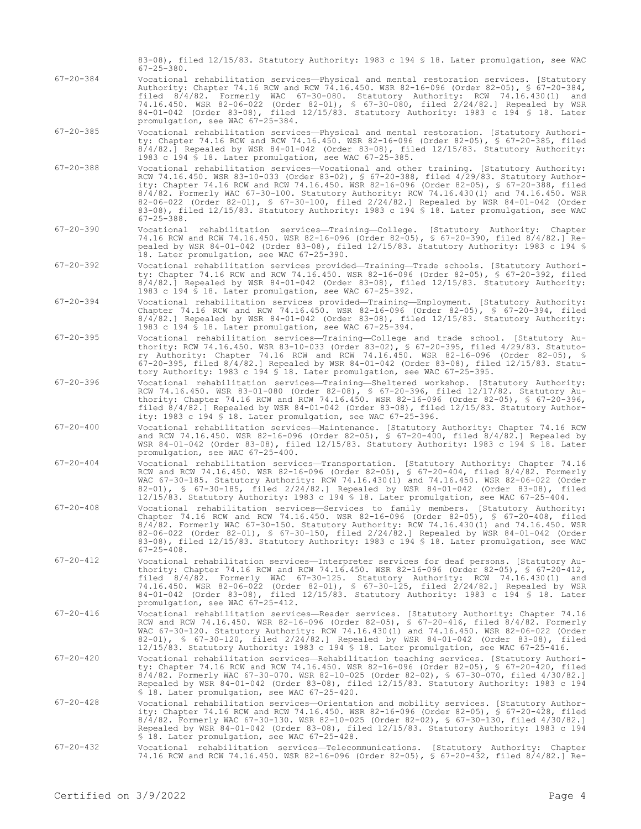Authority: Chapter 74.16 RCW and RCW 74.16.450. WSR 82-16-096 (Order 82-05), § 67-20-384, filed 8/4/82. Formerly WAC 67-30-080. Statutory Authority: RCW 74.16.430(1) and 74.16.450. WSR 82-06-022 (Order 82-01), § 67-30-080, filed 2/24/82.] Repealed by WSR 84-01-042 (Order 83-08), filed 12/15/83. Statutory Authority: 1983 c 194 § 18. Later promulgation, see WAC 67-25-384. 67-20-385 Vocational rehabilitation services—Physical and mental restoration. [Statutory Authority: Chapter 74.16 RCW and RCW 74.16.450. WSR 82-16-096 (Order 82-05), § 67-20-385, filed 8/4/82.] Repealed by WSR 84-01-042 (Order 83-08), filed 12/15/83. Statutory Authority: 1983 c 194 § 18. Later promulgation, see WAC 67-25-385. 67-20-388 Vocational rehabilitation services—Vocational and other training. [Statutory Authority: RCW 74.16.450. WSR 83-10-033 (Order 83-02), § 67-20-388, filed 4/29/83. Statutory Authority: Chapter 74.16 RCW and RCW 74.16.450. WSR 82-16-096 (Order 82-05), § 67-20-388, filed 8/4/82. Formerly WAC 67-30-100. Statutory Authority: RCW 74.16.430(1) and 74.16.450. WSR 82-06-022 (Order 82-01), § 67-30-100, filed 2/24/82.] Repealed by WSR 84-01-042 (Order 83-08), filed 12/15/83. Statutory Authority: 1983 c 194 § 18. Later promulgation, see WAC 67-25-388. 67-20-390 Vocational rehabilitation services—Training—College. [Statutory Authority: Chapter 74.16 RCW and RCW 74.16.450. WSR 82-16-096 (Order 82-05), § 67-20-390, filed 8/4/82.] Repealed by WSR 84-01-042 (Order 83-08), filed 12/15/83. Statutory Authority: 1983 c 194 § 18. Later promulgation, see WAC 67-25-390. 67-20-392 Vocational rehabilitation services provided—Training—Trade schools. [Statutory Authority: Chapter 74.16 RCW and RCW 74.16.450. WSR 82-16-096 (Order 82-05), § 67-20-392, filed 8/4/82.] Repealed by WSR 84-01-042 (Order 83-08), filed 12/15/83. Statutory Authority: 1983 c 194 § 18. Later promulgation, see WAC 67-25-392. 67-20-394 Vocational rehabilitation services provided—Training—Employment. [Statutory Authority: Chapter 74.16 RCW and RCW 74.16.450. WSR 82-16-096 (Order 82-05), § 67-20-394, filed 8/4/82.] Repealed by WSR 84-01-042 (Order 83-08), filed 12/15/83. Statutory Authority: 1983 c 194 § 18. Later promulgation, see WAC 67-25-394. 67-20-395 Vocational rehabilitation services—Training—College and trade school. [Statutory Authority: RCW 74.16.450. WSR 83-10-033 (Order 83-02), § 67-20-395, filed 4/29/83. Statutory Authority: Chapter 74.16 RCW and RCW 74.16.450. WSR 82-16-096 (Order 82-05), § 67-20-395, filed 8/4/82.] Repealed by WSR 84-01-042 (Order 83-08), filed 12/15/83. Statutory Authority: 1983 c 194 § 18. Later promulgation, see WAC 67-25-395. 67-20-396 Vocational rehabilitation services—Training—Sheltered workshop. [Statutory Authority: RCW 74.16.450. WSR 83-01-080 (Order 82-08), § 67-20-396, filed 12/17/82. Statutory Authority: Chapter 74.16 RCW and RCW 74.16.450. WSR 82-16-096 (Order 82-05), § 67-20-396, filed 8/4/82.] Repealed by WSR 84-01-042 (Order 83-08), filed 12/15/83. Statutory Authority: 1983 c 194 § 18. Later promulgation, see WAC 67-25-396. 67-20-400 Vocational rehabilitation services—Maintenance. [Statutory Authority: Chapter 74.16 RCW and RCW 74.16.450. WSR 82-16-096 (Order 82-05), § 67-20-400, filed 8/4/82.] Repealed by WSR 84-01-042 (Order 83-08), filed 12/15/83. Statutory Authority: 1983 c 194 § 18. Later promulgation, see WAC 67-25-400. 67-20-404 Vocational rehabilitation services—Transportation. [Statutory Authority: Chapter 74.16 RCW and RCW 74.16.450. WSR 82-16-096 (Order 82-05), § 67-20-404, filed 8/4/82. Formerly WAC 67-30-185. Statutory Authority: RCW 74.16.430(1) and 74.16.450. WSR 82-06-022 (Order 82-01), § 67-30-185, filed 2/24/82.] Repealed by WSR 84-01-042 (Order 83-08), filed 12/15/83. Statutory Authority: 1983 c 194 § 18. Later promulgation, see WAC 67-25-404. 67-20-408 Vocational rehabilitation services—Services to family members. [Statutory Authority: Chapter 74.16 RCW and RCW 74.16.450. WSR 82-16-096 (Order 82-05), § 67-20-408, filed 8/4/82. Formerly WAC 67-30-150. Statutory Authority: RCW 74.16.430(1) and 74.16.450. WSR 82-06-022 (Order 82-01), § 67-30-150, filed 2/24/82.] Repealed by WSR 84-01-042 (Order 83-08), filed 12/15/83. Statutory Authority: 1983 c 194 \$ 18. Later promulgation, see WAC  $67 - 25 - 408$ . 67-20-412 Vocational rehabilitation services—Interpreter services for deaf persons. [Statutory Authority: Chapter 74.16 RCW and RCW 74.16.450. WSR 82-16-096 (Order 82-05), § 67-20-412, filed 8/4/82. Formerly WAC 67-30-125. Statutory Authority: RCW 74.16.430(1) and 74.16.450. WSR 82-06-022 (Order 82-01), § 67-30-125, filed 2/24/82.] Repealed by WSR 84-01-042 (Order 83-08), filed 12/15/83. Statutory Authority: 1983 c 194 § 18. Later promulgation, see WAC 67-25-412. 67-20-416 Vocational rehabilitation services—Reader services. [Statutory Authority: Chapter 74.16 RCW and RCW 74.16.450. WSR 82-16-096 (Order 82-05), § 67-20-416, filed 8/4/82. Formerly WAC 67-30-120. Statutory Authority: RCW 74.16.430(1) and 74.16.450. WSR 82-06-022 (Order 82-01), § 67-30-120, filed 2/24/82.] Repealed by WSR 84-01-042 (Order 83-08), filed 12/15/83. Statutory Authority: 1983 c 194 § 18. Later promulgation, see WAC 67-25-416. 67-20-420 Vocational rehabilitation services—Rehabilitation teaching services. [Statutory Authority: Chapter 74.16 RCW and RCW 74.16.450. WSR 82-16-096 (Order 82-05), § 67-20-420, filed 8/4/82. Formerly WAC 67-30-070. WSR 82-10-025 (Order 82-02), § 67-30-070, filed 4/30/82.] Repealed by WSR 84-01-042 (Order 83-08), filed 12/15/83. Statutory Authority: 1983 c 194 § 18. Later promulgation, see WAC 67-25-420. 67-20-428 Vocational rehabilitation services—Orientation and mobility services. [Statutory Authority: Chapter 74.16 RCW and RCW 74.16.450. WSR 82-16-096 (Order 82-05), § 67-20-428, filed 8/4/82. Formerly WAC 67-30-130. WSR 82-10-025 (Order 82-02), § 67-30-130, filed 4/30/82.] Repealed by WSR 84-01-042 (Order 83-08), filed 12/15/83. Statutory Authority: 1983 c 194 § 18. Later promulgation, see WAC 67-25-428. 67-20-432 Vocational rehabilitation services—Telecommunications. [Statutory Authority: Chapter 74.16 RCW and RCW 74.16.450. WSR 82-16-096 (Order 82-05), § 67-20-432, filed 8/4/82.] Re-Certified on  $3/9/2022$ 

83-08), filed 12/15/83. Statutory Authority: 1983 c 194 § 18. Later promulgation, see WAC

67-20-384 Vocational rehabilitation services—Physical and mental restoration services. [Statutory

67-25-380.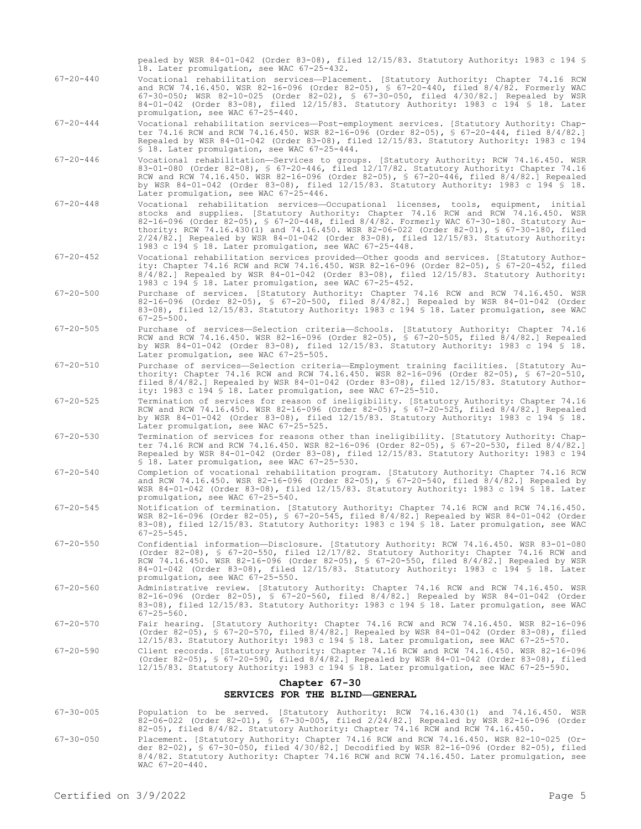- pealed by WSR 84-01-042 (Order 83-08), filed 12/15/83. Statutory Authority: 1983 c 194 § 18. Later promulgation, see WAC 67-25-432. 67-20-440 Vocational rehabilitation services—Placement. [Statutory Authority: Chapter 74.16 RCW and RCW 74.16.450. WSR 82-16-096 (Order 82-05), § 67-20-440, filed 8/4/82. Formerly WAC 67-30-050; WSR 82-10-025 (Order 82-02), § 67-30-050, filed 4/30/82.] Repealed by WSR 84-01-042 (Order 83-08), filed 12/15/83. Statutory Authority: 1983 c 194 § 18. Later promulgation, see WAC 67-25-440. 67-20-444 Vocational rehabilitation services—Post-employment services. [Statutory Authority: Chapter 74.16 RCW and RCW 74.16.450. WSR 82-16-096 (Order 82-05), § 67-20-444, filed 8/4/82.] Repealed by WSR 84-01-042 (Order 83-08), filed 12/15/83. Statutory Authority: 1983 c 194 § 18. Later promulgation, see WAC 67-25-444. 67-20-446 Vocational rehabilitation—Services to groups. [Statutory Authority: RCW 74.16.450. WSR
	- 83-01-080 (Order 82-08), § 67-20-446, filed 12/17/82. Statutory Authority: Chapter 74.16 RCW and RCW 74.16.450. WSR 82-16-096 (Order 82-05), § 67-20-446, filed 8/4/82.] Repealed by WSR 84-01-042 (Order 83-08), filed 12/15/83. Statutory Authority: 1983 c 194 § 18. Later promulgation, see WAC 67-25-446.
- 67-20-448 Vocational rehabilitation services—Occupational licenses, tools, equipment, initial stocks and supplies. [Statutory Authority: Chapter 74.16 RCW and RCW 74.16.450. WSR 82-16-096 (Order 82-05), § 67-20-448, filed 8/4/82. Formerly WAC 67-30-180. Statutory Authority: RCW 74.16.430(1) and 74.16.450. WSR 82-06-022 (Order 82-01), § 67-30-180, filed 2/24/82.] Repealed by WSR 84-01-042 (Order 83-08), filed 12/15/83. Statutory Authority: 1983 c 194 § 18. Later promulgation, see WAC 67-25-448.
- 67-20-452 Vocational rehabilitation services provided—Other goods and services. [Statutory Authority: Chapter 74.16 RCW and RCW 74.16.450. WSR 82-16-096 (Order 82-05), § 67-20-452, filed 8/4/82.] Repealed by WSR 84-01-042 (Order 83-08), filed 12/15/83. Statutory Authority: 1983 c 194 § 18. Later promulgation, see WAC 67-25-452.
- 67-20-500 Purchase of services. [Statutory Authority: Chapter 74.16 RCW and RCW 74.16.450. WSR 82-16-096 (Order 82-05), § 67-20-500, filed 8/4/82.] Repealed by WSR 84-01-042 (Order 83-08), filed 12/15/83. Statutory Authority: 1983 c 194 § 18. Later promulgation, see WAC 67-25-500.
- 67-20-505 Purchase of services—Selection criteria—Schools. [Statutory Authority: Chapter 74.16 RCW and RCW 74.16.450. WSR 82-16-096 (Order 82-05), § 67-20-505, filed 8/4/82.] Repealed by WSR 84-01-042 (Order 83-08), filed 12/15/83. Statutory Authority: 1983 c 194 § 18. Later promulgation, see WAC 67-25-505.
- 67-20-510 Purchase of services—Selection criteria—Employment training facilities. [Statutory Authority: Chapter 74.16 RCW and RCW 74.16.450. WSR 82-16-096 (Order 82-05), § 67-20-510, filed 8/4/82.] Repealed by WSR 84-01-042 (Order 83-08), filed 12/15/83. Statutory Authority: 1983 c 194 § 18. Later promulgation, see WAC 67-25-510.
- 67-20-525 Termination of services for reason of ineligibility. [Statutory Authority: Chapter 74.16 RCW and RCW 74.16.450. WSR 82-16-096 (Order 82-05), § 67-20-525, filed 8/4/82.] Repealed by WSR 84-01-042 (Order 83-08), filed 12/15/83. Statutory Authority: 1983 c 194 § 18. Later promulgation, see WAC 67-25-525.
- 67-20-530 Termination of services for reasons other than ineligibility. [Statutory Authority: Chapter 74.16 RCW and RCW 74.16.450. WSR 82-16-096 (Order 82-05), § 67-20-530, filed 8/4/82.] Repealed by WSR 84-01-042 (Order 83-08), filed 12/15/83. Statutory Authority: 1983 c 194 § 18. Later promulgation, see WAC 67-25-530.
- 67-20-540 Completion of vocational rehabilitation program. [Statutory Authority: Chapter 74.16 RCW and RCW 74.16.450. WSR 82-16-096 (Order 82-05), § 67-20-540, filed 8/4/82.] Repealed by WSR 84-01-042 (Order 83-08), filed 12/15/83. Statutory Authority: 1983 c 194 § 18. Later promulgation, see WAC 67-25-540.
- 67-20-545 Notification of termination. [Statutory Authority: Chapter 74.16 RCW and RCW 74.16.450. WSR 82-16-096 (Order 82-05), § 67-20-545, filed 8/4/82.] Repealed by WSR 84-01-042 (Order 83-08), filed 12/15/83. Statutory Authority: 1983 c 194 § 18. Later promulgation, see WAC 67-25-545.
- 67-20-550 Confidential information—Disclosure. [Statutory Authority: RCW 74.16.450. WSR 83-01-080 (Order 82-08), § 67-20-550, filed 12/17/82. Statutory Authority: Chapter 74.16 RCW and RCW 74.16.450. WSR 82-16-096 (Order 82-05), § 67-20-550, filed 8/4/82.] Repealed by WSR 84-01-042 (Order 83-08), filed 12/15/83. Statutory Authority: 1983 c 194 § 18. Later promulgation, see WAC 67-25-550.
- 67-20-560 Administrative review. [Statutory Authority: Chapter 74.16 RCW and RCW 74.16.450. WSR 82-16-096 (Order 82-05), § 67-20-560, filed 8/4/82.] Repealed by WSR 84-01-042 (Order 83-08), filed 12/15/83. Statutory Authority: 1983 c 194 § 18. Later promulgation, see WAC 67-25-560.
- 67-20-570 Fair hearing. [Statutory Authority: Chapter 74.16 RCW and RCW 74.16.450. WSR 82-16-096 (Order 82-05), § 67-20-570, filed 8/4/82.] Repealed by WSR 84-01-042 (Order 83-08), filed 12/15/83. Statutory Authority: 1983 c 194 § 18. Later promulgation, see WAC 67-25-570.
- 67-20-590 Client records. [Statutory Authority: Chapter 74.16 RCW and RCW 74.16.450. WSR 82-16-096 (Order 82-05), § 67-20-590, filed 8/4/82.] Repealed by WSR 84-01-042 (Order 83-08), filed 12/15/83. Statutory Authority: 1983 c 194 § 18. Later promulgation, see WAC 67-25-590.

#### **Chapter 67-30 SERVICES FOR THE BLIND—GENERAL**

- 67-30-005 Population to be served. [Statutory Authority: RCW 74.16.430(1) and 74.16.450. WSR 82-06-022 (Order 82-01), § 67-30-005, filed 2/24/82.] Repealed by WSR 82-16-096 (Order 82-05), filed 8/4/82. Statutory Authority: Chapter 74.16 RCW and RCW 74.16.450.
- 67-30-050 Placement. [Statutory Authority: Chapter 74.16 RCW and RCW 74.16.450. WSR 82-10-025 (Order 82-02), § 67-30-050, filed 4/30/82.] Decodified by WSR 82-16-096 (Order 82-05), filed 8/4/82. Statutory Authority: Chapter 74.16 RCW and RCW 74.16.450. Later promulgation, see WAC 67-20-440.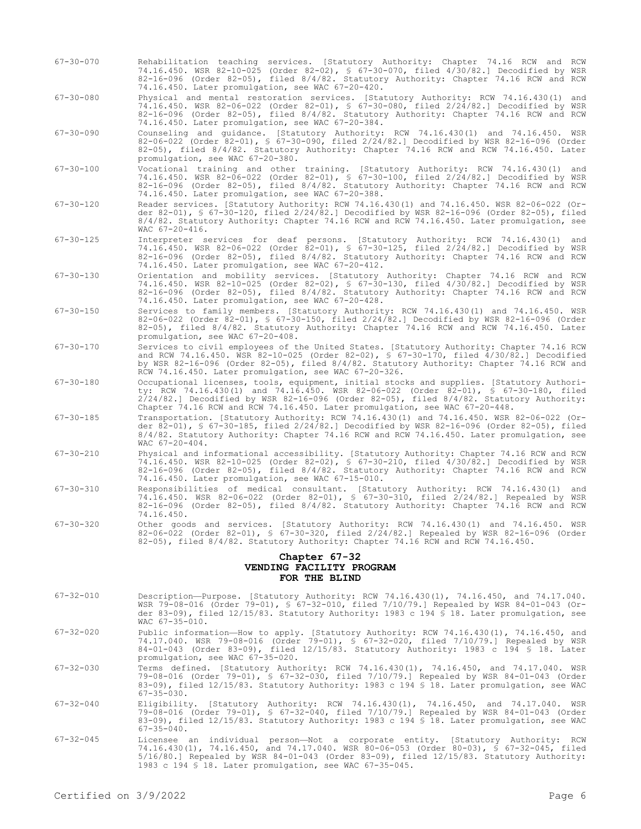- 67-30-070 Rehabilitation teaching services. [Statutory Authority: Chapter 74.16 RCW and RCW 74.16.450. WSR 82-10-025 (Order 82-02), § 67-30-070, filed 4/30/82.] Decodified by WSR 82-16-096 (Order 82-05), filed 8/4/82. Statutory Authority: Chapter 74.16 RCW and RCW 74.16.450. Later promulgation, see WAC 67-20-420.
- 67-30-080 Physical and mental restoration services. [Statutory Authority: RCW 74.16.430(1) and 74.16.450. WSR 82-06-022 (Order 82-01), § 67-30-080, filed 2/24/82.] Decodified by WSR 82-16-096 (Order 82-05), filed 8/4/82. Statutory Authority: Chapter 74.16 RCW and RCW 74.16.450. Later promulgation, see WAC 67-20-384.
- 67-30-090 Counseling and guidance. [Statutory Authority: RCW 74.16.430(1) and 74.16.450. WSR 82-06-022 (Order 82-01), § 67-30-090, filed 2/24/82.] Decodified by WSR 82-16-096 (Order 82-05), filed 8/4/82. Statutory Authority: Chapter 74.16 RCW and RCW 74.16.450. Later promulgation, see WAC 67-20-380.
- 67-30-100 Vocational training and other training. [Statutory Authority: RCW 74.16.430(1) and 74.16.450. WSR 82-06-022 (Order 82-01), § 67-30-100, filed 2/24/82.] Decodified by WSR 82-16-096 (Order 82-05), filed 8/4/82. Statutory Authority: Chapter 74.16 RCW and RCW 74.16.450. Later promulgation, see WAC 67-20-388.
- 67-30-120 Reader services. [Statutory Authority: RCW 74.16.430(1) and 74.16.450. WSR 82-06-022 (Order 82-01), § 67-30-120, filed 2/24/82.] Decodified by WSR 82-16-096 (Order 82-05), filed 8/4/82. Statutory Authority: Chapter 74.16 RCW and RCW 74.16.450. Later promulgation, see WAC 67-20-416.
- 67-30-125 Interpreter services for deaf persons. [Statutory Authority: RCW 74.16.430(1) and 74.16.450. WSR 82-06-022 (Order 82-01), § 67-30-125, filed 2/24/82.] Decodified by WSR 82-16-096 (Order 82-05), filed 8/4/82. Statutory Authority: Chapter 74.16 RCW and RCW 74.16.450. Later promulgation, see WAC 67-20-412.
- 67-30-130 Orientation and mobility services. [Statutory Authority: Chapter 74.16 RCW and RCW 74.16.450. WSR 82-10-025 (Order 82-02), § 67-30-130, filed 4/30/82.] Decodified by WSR 82-16-096 (Order 82-05), filed 8/4/82. Statutory Authority: Chapter 74.16 RCW and RCW 74.16.450. Later promulgation, see WAC 67-20-428.
- 67-30-150 Services to family members. [Statutory Authority: RCW 74.16.430(1) and 74.16.450. WSR 82-06-022 (Order 82-01), § 67-30-150, filed 2/24/82.] Decodified by WSR 82-16-096 (Order 82-05), filed 8/4/82. Statutory Authority: Chapter 74.16 RCW and RCW 74.16.450. Later promulgation, see WAC 67-20-408.
- 67-30-170 Services to civil employees of the United States. [Statutory Authority: Chapter 74.16 RCW and RCW 74.16.450. WSR 82-10-025 (Order 82-02), § 67-30-170, filed 4/30/82.] Decodified by WSR 82-16-096 (Order 82-05), filed 8/4/82. Statutory Authority: Chapter 74.16 RCW and RCW 74.16.450. Later promulgation, see WAC 67-20-326.
- 67-30-180 Occupational licenses, tools, equipment, initial stocks and supplies. [Statutory Authority: RCW 74.16.430(1) and 74.16.450. WSR 82-06-022 (Order 82-01), § 67-30-180, filed 2/24/82.] Decodified by WSR 82-16-096 (Order 82-05), filed 8/4/82. Statutory Authority: Chapter 74.16 RCW and RCW 74.16.450. Later promulgation, see WAC 67-20-448.
- 67-30-185 Transportation. [Statutory Authority: RCW 74.16.430(1) and 74.16.450. WSR 82-06-022 (Order 82-01), § 67-30-185, filed 2/24/82.] Decodified by WSR 82-16-096 (Order 82-05), filed 8/4/82. Statutory Authority: Chapter 74.16 RCW and RCW 74.16.450. Later promulgation, see WAC 67-20-404.
- 67-30-210 Physical and informational accessibility. [Statutory Authority: Chapter 74.16 RCW and RCW 74.16.450. WSR 82-10-025 (Order 82-02), § 67-30-210, filed 4/30/82.] Decodified by WSR 82-16-096 (Order 82-05), filed 8/4/82. Statutory Authority: Chapter 74.16 RCW and RCW 74.16.450. Later promulgation, see WAC 67-15-010.
- 67-30-310 Responsibilities of medical consultant. [Statutory Authority: RCW 74.16.430(1) and 74.16.450. WSR 82-06-022 (Order 82-01), § 67-30-310, filed 2/24/82.] Repealed by WSR 82-16-096 (Order 82-05), filed 8/4/82. Statutory Authority: Chapter 74.16 RCW and RCW 74.16.450.
- 67-30-320 Other goods and services. [Statutory Authority: RCW 74.16.430(1) and 74.16.450. WSR 82-06-022 (Order 82-01), § 67-30-320, filed 2/24/82.] Repealed by WSR 82-16-096 (Order 82-05), filed 8/4/82. Statutory Authority: Chapter 74.16 RCW and RCW 74.16.450.

## **Chapter 67-32 VENDING FACILITY PROGRAM FOR THE BLIND**

- 67-32-010 Description—Purpose. [Statutory Authority: RCW 74.16.430(1), 74.16.450, and 74.17.040. WSR 79-08-016 (Order 79-01), § 67-32-010, filed 7/10/79.] Repealed by WSR 84-01-043 (Order 83-09), filed 12/15/83. Statutory Authority: 1983 c 194 § 18. Later promulgation, see WAC 67-35-010.
- 67-32-020 Public information—How to apply. [Statutory Authority: RCW 74.16.430(1), 74.16.450, and 74.17.040. WSR 79-08-016 (Order 79-01), § 67-32-020, filed 7/10/79.] Repealed by WSR 84-01-043 (Order 83-09), filed 12/15/83. Statutory Authority: 1983 c 194 § 18. Later promulgation, see WAC 67-35-020.
- 67-32-030 Terms defined. [Statutory Authority: RCW 74.16.430(1), 74.16.450, and 74.17.040. WSR 79-08-016 (Order 79-01), § 67-32-030, filed 7/10/79.] Repealed by WSR 84-01-043 (Order 83-09), filed 12/15/83. Statutory Authority: 1983 c 194 § 18. Later promulgation, see WAC
- 67-35-030.<br>Eligibility. 67-32-040 Eligibility. [Statutory Authority: RCW 74.16.430(1), 74.16.450, and 74.17.040. WSR 79-08-016 (Order 79-01), § 67-32-040, filed 7/10/79.] Repealed by WSR 84-01-043 (Order 83-09), filed 12/15/83. Statutory Authority: 1983 c 194 § 18. Later promulgation, see WAC  $67 - 35 - 040$ .
- 67-32-045 Licensee an individual person—Not a corporate entity. [Statutory Authority: RCW 74.16.430(1), 74.16.450, and 74.17.040. WSR 80-06-053 (Order 80-03), § 67-32-045, filed 5/16/80.] Repealed by WSR 84-01-043 (Order 83-09), filed 12/15/83. Statutory Authority: 1983 c 194 § 18. Later promulgation, see WAC 67-35-045.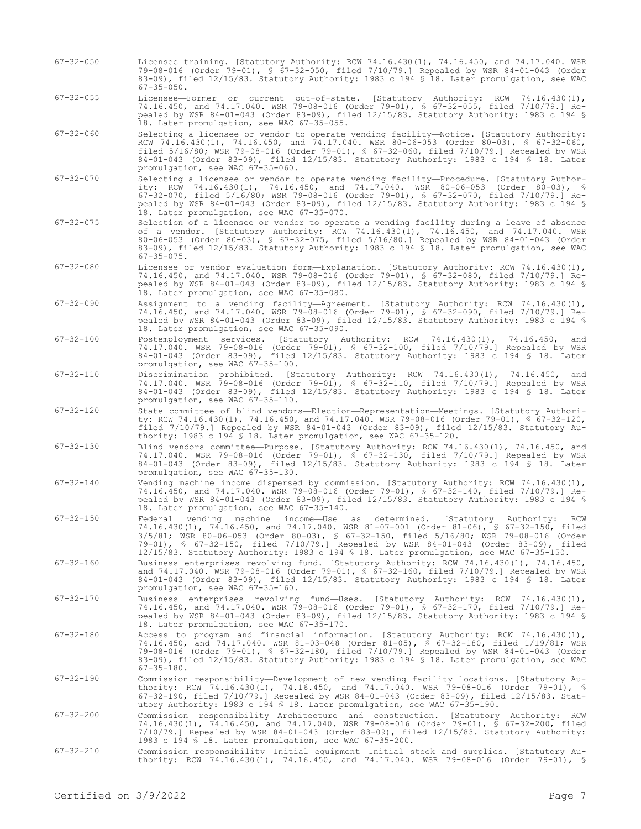- 67-32-050 Licensee training. [Statutory Authority: RCW 74.16.430(1), 74.16.450, and 74.17.040. WSR 79-08-016 (Order 79-01), § 67-32-050, filed 7/10/79.] Repealed by WSR 84-01-043 (Order 83-09), filed 12/15/83. Statutory Authority: 1983 c 194 § 18. Later promulgation, see WAC 67-35-050.
- 67-32-055 Licensee—Former or current out-of-state. [Statutory Authority: RCW 74.16.430(1), 74.16.450, and 74.17.040. WSR 79-08-016 (Order 79-01), § 67-32-055, filed 7/10/79.] Repealed by WSR 84-01-043 (Order 83-09), filed 12/15/83. Statutory Authority: 1983 c 194 § 18. Later promulgation, see WAC 67-35-055.
- 67-32-060 Selecting a licensee or vendor to operate vending facility—Notice. [Statutory Authority: RCW 74.16.430(1), 74.16.450, and 74.17.040. WSR 80-06-053 (Order 80-03), § 67-32-060, filed 5/16/80; WSR 79-08-016 (Order 79-01), § 67-32-060, filed 7/10/79.] Repealed by WSR 84-01-043 (Order 83-09), filed 12/15/83. Statutory Authority: 1983 c 194 § 18. Later promulgation, see WAC 67-35-060.
- 67-32-070 Selecting a licensee or vendor to operate vending facility—Procedure. [Statutory Authority: RCW 74.16.430(1), 74.16.450, and 74.17.040. WSR 80-06-053 (Order 80-03), § 67-32-070, filed 5/16/80; WSR 79-08-016 (Order 79-01), § 67-32-070, filed 7/10/79.] Repealed by WSR 84-01-043 (Order 83-09), filed 12/15/83. Statutory Authority: 1983 c 194 § 18. Later promulgation, see WAC 67-35-070.
- 67-32-075 Selection of a licensee or vendor to operate a vending facility during a leave of absence of a vendor. [Statutory Authority: RCW 74.16.430(1), 74.16.450, and 74.17.040. WSR 80-06-053 (Order 80-03), § 67-32-075, filed 5/16/80.] Repealed by WSR 84-01-043 (Order 83-09), filed 12/15/83. Statutory Authority: 1983 c 194 § 18. Later promulgation, see WAC 67-35-075.
- 67-32-080 Licensee or vendor evaluation form—Explanation. [Statutory Authority: RCW 74.16.430(1), 74.16.450, and 74.17.040. WSR 79-08-016 (Order 79-01), § 67-32-080, filed 7/10/79.] Repealed by WSR 84-01-043 (Order 83-09), filed 12/15/83. Statutory Authority: 1983 c 194 § 18. Later promulgation, see WAC 67-35-080.
- 67-32-090 Assignment to a vending facility—Agreement. [Statutory Authority: RCW 74.16.430(1), 74.16.450, and 74.17.040. WSR 79-08-016 (Order 79-01), § 67-32-090, filed 7/10/79.] Repealed by WSR 84-01-043 (Order 83-09), filed 12/15/83. Statutory Authority: 1983 c 194 § 18. Later promulgation, see WAC 67-35-090.
- 67-32-100 Postemployment services. [Statutory Authority: RCW 74.16.430(1), 74.16.450, and 74.17.040. WSR 79-08-016 (Order 79-01), § 67-32-100, filed 7/10/79.] Repealed by WSR 84-01-043 (Order 83-09), filed 12/15/83. Statutory Authority: 1983 c 194 § 18. Later promulgation, see WAC 67-35-100.
- 67-32-110 Discrimination prohibited. [Statutory Authority: RCW 74.16.430(1), 74.16.450, and 74.17.040. WSR 79-08-016 (Order 79-01), § 67-32-110, filed 7/10/79.] Repealed by WSR 84-01-043 (Order 83-09), filed 12/15/83. Statutory Authority: 1983 c 194 § 18. Later promulgation, see WAC 67-35-110.
- 67-32-120 State committee of blind vendors—Election—Representation—Meetings. [Statutory Authority: RCW 74.16.430(1), 74.16.450, and 74.17.040. WSR 79-08-016 (Order 79-01), § 67-32-120, filed 7/10/79.] Repealed by WSR 84-01-043 (Order 83-09), filed 12/15/83. Statutory Authority: 1983 c 194 § 18. Later promulgation, see WAC 67-35-120.
- 67-32-130 Blind vendors committee—Purpose. [Statutory Authority: RCW 74.16.430(1), 74.16.450, and 74.17.040. WSR 79-08-016 (Order 79-01), § 67-32-130, filed 7/10/79.] Repealed by WSR 84-01-043 (Order 83-09), filed 12/15/83. Statutory Authority: 1983 c 194 § 18. Later promulgation, see WAC 67-35-130.
- 67-32-140 Vending machine income dispersed by commission. [Statutory Authority: RCW 74.16.430(1), 74.16.450, and 74.17.040. WSR 79-08-016 (Order 79-01), § 67-32-140, filed 7/10/79.] Repealed by WSR 84-01-043 (Order 83-09), filed 12/15/83. Statutory Authority: 1983 c 194 § 18. Later promulgation, see WAC 67-35-140.
- 67-32-150 Federal vending machine income—Use as determined. [Statutory Authority: RCW 74.16.430(1), 74.16.450, and 74.17.040. WSR 81-07-001 (Order 81-06), § 67-32-150, filed 3/5/81; WSR 80-06-053 (Order 80-03), § 67-32-150, filed 5/16/80; WSR 79-08-016 (Order 79-01), § 67-32-150, filed 7/10/79.] Repealed by WSR 84-01-043 (Order 83-09), filed 12/15/83. Statutory Authority: 1983 c 194 § 18. Later promulgation, see WAC 67-35-150.
- 67-32-160 Business enterprises revolving fund. [Statutory Authority: RCW 74.16.430(1), 74.16.450, and 74.17.040. WSR 79-08-016 (Order 79-01), § 67-32-160, filed 7/10/79.] Repealed by WSR 84-01-043 (Order 83-09), filed 12/15/83. Statutory Authority: 1983 c 194 § 18. Later promulgation, see WAC 67-35-160.
- 67-32-170 Business enterprises revolving fund—Uses. [Statutory Authority: RCW 74.16.430(1), 74.16.450, and 74.17.040. WSR 79-08-016 (Order 79-01), § 67-32-170, filed 7/10/79.] Repealed by WSR 84-01-043 (Order 83-09), filed 12/15/83. Statutory Authority: 1983 c 194 § 18. Later promulgation, see WAC 67-35-170.
- 67-32-180 Access to program and financial information. [Statutory Authority: RCW 74.16.430(1), 74.16.450, and 74.17.040. WSR 81-03-048 (Order 81-05), § 67-32-180, filed 1/19/81; WSR 79-08-016 (Order 79-01), § 67-32-180, filed 7/10/79.] Repealed by WSR 84-01-043 (Order 83-09), filed 12/15/83. Statutory Authority: 1983 c 194 § 18. Later promulgation, see WAC  $67 - 35 - 180$ .
- 67-32-190 Commission responsibility—Development of new vending facility locations. [Statutory Authority: RCW 74.16.430(1), 74.16.450, and 74.17.040. WSR 79-08-016 (Order 79-01), § 67-32-190, filed 7/10/79.] Repealed by WSR 84-01-043 (Order 83-09), filed 12/15/83. Statutory Authority: 1983 c 194 § 18. Later promulgation, see WAC 67-35-190.
- 67-32-200 Commission responsibility—Architecture and construction. [Statutory Authority: RCW 74.16.430(1), 74.16.450, and 74.17.040. WSR 79-08-016 (Order 79-01), § 67-32-200, filed 7/10/79.] Repealed by WSR 84-01-043 (Order 83-09), filed 12/15/83. Statutory Authority: 1983 c 194 § 18. Later promulgation, see WAC 67-35-200.
- 67-32-210 Commission responsibility—Initial equipment—Initial stock and supplies. [Statutory Authority: RCW 74.16.430(1), 74.16.450, and 74.17.040. WSR 79-08-016 (Order 79-01), §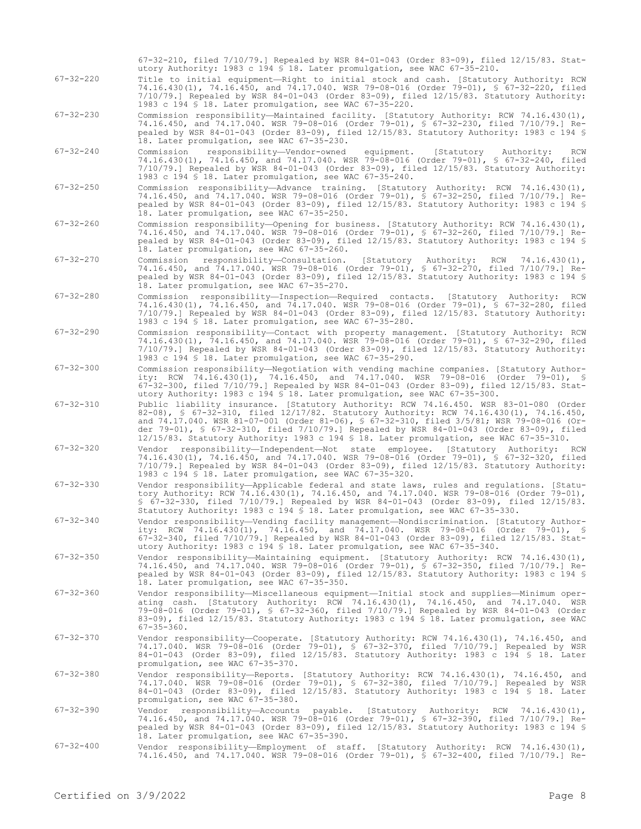|                 | 67-32-210, filed 7/10/79.] Repealed by WSR 84-01-043 (Order 83-09), filed $12/15/83$ . Stat-<br>utory Authority: 1983 c 194 \$ 18. Later promulgation, see WAC 67-35-210.                                                                                                                                                                                                                                                                                          |
|-----------------|--------------------------------------------------------------------------------------------------------------------------------------------------------------------------------------------------------------------------------------------------------------------------------------------------------------------------------------------------------------------------------------------------------------------------------------------------------------------|
| $67 - 32 - 220$ | Title to initial equipment—Right to initial stock and cash. [Statutory Authority: RCW<br>74.16.430(1), 74.16.450, and 74.17.040. WSR 79-08-016 (Order 79-01), § 67-32-220, filed<br>$7/10/79$ .] Repealed by WSR 84-01-043 (Order 83-09), filed $12/15/83$ . Statutory Authority:<br>1983 c 194 § 18. Later promulgation, see WAC 67-35-220.                                                                                                                       |
| $67 - 32 - 230$ | Commission responsibility—Maintained facility. [Statutory Authority: RCW 74.16.430(1),<br>74.16.450, and 74.17.040. WSR 79-08-016 (Order 79-01), § 67-32-230, filed 7/10/79.] Re-<br>pealed by WSR 84-01-043 (Order 83-09), filed $12/15/83$ . Statutory Authority: 1983 c 194 §<br>18. Later promulgation, see WAC 67-35-230.                                                                                                                                     |
| $67 - 32 - 240$ | responsibility-Vendor-owned<br>equipment.<br>[Statutory<br>Commission<br>Authority:<br>RCW<br>74.16.430(1), 74.16.450, and 74.17.040. WSR 79-08-016 (Order 79-01), § 67-32-240, filed<br>$7/10/79$ .] Repealed by WSR 84-01-043 (Order 83-09), filed $12/15/83$ . Statutory Authority:<br>1983 c 194 § 18. Later promulgation, see WAC 67-35-240.                                                                                                                  |
| $67 - 32 - 250$ | Commission responsibility-Advance training. [Statutory Authority: RCW 74.16.430(1),<br>74.16.450, and 74.17.040. WSR 79-08-016 (Order 79-01), § 67-32-250, filed 7/10/79.] Re-<br>pealed by WSR 84-01-043 (Order 83-09), filed $12/15/83$ . Statutory Authority: 1983 c 194 §<br>18. Later promulgation, see WAC 67-35-250.                                                                                                                                        |
| $67 - 32 - 260$ | Commission responsibility—Opening for business. [Statutory Authority: RCW 74.16.430(1),<br>74.16.450, and 74.17.040. WSR 79-08-016 (Order 79-01), § 67-32-260, filed 7/10/79.] Re-<br>pealed by WSR 84-01-043 (Order 83-09), filed $12/15/83$ . Statutory Authority: 1983 c 194 §<br>18. Later promulgation, see WAC 67-35-260.                                                                                                                                    |
| $67 - 32 - 270$ | Commission responsibility--Consultation. [Statutory Authority:<br>RCW $74.16.430(1)$ ,<br>74.16.450, and 74.17.040. WSR 79-08-016 (Order 79-01), § 67-32-270, filed 7/10/79.] Re-<br>pealed by WSR 84-01-043 (Order 83-09), filed $12/15/83$ . Statutory Authority: 1983 c 194 §<br>18. Later promulgation, see WAC 67-35-270.                                                                                                                                     |
| $67 - 32 - 280$ | Commission responsibility-Inspection-Required contacts. [Statutory Authority: RCW<br>74.16.430(1), 74.16.450, and 74.17.040. WSR 79-08-016 (Order 79-01), § 67-32-280, filed<br>$7/10/79$ . Repealed by WSR 84-01-043 (Order 83-09), filed $12/15/83$ . Statutory Authority:<br>1983 c 194 § 18. Later promulgation, see WAC 67-35-280.                                                                                                                            |
| $67 - 32 - 290$ | Commission responsibility-Contact with property management. [Statutory Authority: RCW<br>74.16.430(1), 74.16.450, and 74.17.040. WSR 79-08-016 (Order 79-01), § 67-32-290, filed<br>$7/10/79$ .] Repealed by WSR 84-01-043 (Order 83-09), filed $12/15/83$ . Statutory Authority:<br>1983 c 194 § 18. Later promulgation, see WAC 67-35-290.                                                                                                                       |
| $67 - 32 - 300$ | Commission responsibility—Negotiation with vending machine companies. [Statutory Author-<br>ity: RCW 74.16.430(1), 74.16.450, and 74.17.040. WSR 79-08-016 (Order 79-01), §<br>67-32-300, filed 7/10/79.] Repealed by WSR 84-01-043 (Order 83-09), filed 12/15/83. Stat-<br>utory Authority: 1983 c 194 \$ 18. Later promulgation, see WAC 67-35-300.                                                                                                              |
| $67 - 32 - 310$ | Public liability insurance. [Statutory Authority: RCW 74.16.450. WSR 83-01-080 (Order<br>82-08), § 67-32-310, filed 12/17/82. Statutory Authority: RCW 74.16.430(1), 74.16.450,<br>and 74.17.040. WSR 81-07-001 (Order 81-06), § 67-32-310, filed 3/5/81; WSR 79-08-016 (Or-<br>der 79-01), § 67-32-310, filed 7/10/79.] Repealed by WSR 84-01-043 (Order 83-09), filed<br>12/15/83. Statutory Authority: 1983 c 194 \$ 18. Later promulgation, see WAC 67-35-310. |
| $67 - 32 - 320$ | Vendor responsibility—Independent—Not state employee. [Statutory Authority: RCW<br>74.16.430(1), 74.16.450, and 74.17.040. WSR 79-08-016 (Order 79-01), § 67-32-320, filed<br>$7/10/79$ . Repealed by WSR 84-01-043 (Order 83-09), filed $12/15/83$ . Statutory Authority:<br>1983 c 194 \$ 18. Later promulgation, see WAC 67-35-320.                                                                                                                             |
| $67 - 32 - 330$ | Vendor responsibility—Applicable federal and state laws, rules and regulations. [Statu-<br>tory Authority: RCW 74.16.430(1), 74.16.450, and 74.17.040. WSR 79-08-016 (Order 79-01),<br>\$ 67-32-330, filed 7/10/79.] Repealed by WSR 84-01-043 (Order 83-09), filed 12/15/83.<br>Statutory Authority: 1983 c 194 \$ 18. Later promulgation, see WAC 67-35-330.                                                                                                     |
| $67 - 32 - 340$ | Vendor responsibility-Vending facility management-Nondiscrimination. [Statutory Author-<br>ity: RCW 74.16.430(1), 74.16.450, and 74.17.040. WSR 79-08-016 (Order 79-01), §<br>67-32-340, filed 7/10/79.] Repealed by WSR 84-01-043 (Order 83-09), filed 12/15/83. Stat-<br>utory Authority: 1983 c 194 \$ 18. Later promulgation, see WAC 67-35-340.                                                                                                               |
| $67 - 32 - 350$ | Vendor responsibility—Maintaining equipment. [Statutory Authority: RCW 74.16.430(1),<br>74.16.450, and 74.17.040. WSR 79-08-016 (Order 79-01), § 67-32-350, filed 7/10/79.] Re-<br>pealed by WSR 84-01-043 (Order 83-09), filed $12/15/83$ . Statutory Authority: 1983 c 194 §<br>18. Later promulgation, see WAC 67-35-350.                                                                                                                                       |
| $67 - 32 - 360$ | Vendor responsibility—Miscellaneous equipment—Initial stock and supplies—Minimum oper-<br>ating cash. [Statutory Authority: RCW 74.16.430(1), 74.16.450, and 74.17.040. WSR<br>79-08-016 (Order 79-01), § 67-32-360, filed 7/10/79.] Repealed by WSR 84-01-043 (Order<br>83-09), filed 12/15/83. Statutory Authority: 1983 c 194 \$ 18. Later promulgation, see WAC<br>$67 - 35 - 360$ .                                                                           |
| $67 - 32 - 370$ | Vendor responsibility-Cooperate. [Statutory Authority: RCW 74.16.430(1), 74.16.450, and<br>74.17.040. WSR 79-08-016 (Order 79-01), § 67-32-370, filed 7/10/79.] Repealed by WSR<br>84-01-043 (Order 83-09), filed 12/15/83. Statutory Authority: 1983 c 194 \$ 18. Later<br>promulgation, see WAC 67-35-370.                                                                                                                                                       |
| $67 - 32 - 380$ | Vendor responsibility—Reports. [Statutory Authority: RCW 74.16.430(1), 74.16.450, and<br>74.17.040. WSR 79-08-016 (Order 79-01), § 67-32-380, filed 7/10/79.] Repealed by WSR<br>84-01-043 (Order 83-09), filed $12/15/83$ . Statutory Authority: 1983 c 194 § 18. Later<br>promulgation, see WAC 67-35-380.                                                                                                                                                       |
| $67 - 32 - 390$ | Vendor responsibility-Accounts payable. [Statutory Authority: RCW 74.16.430(1),<br>74.16.450, and 74.17.040. WSR 79-08-016 (Order 79-01), § 67-32-390, filed 7/10/79.] Re-<br>pealed by WSR 84-01-043 (Order 83-09), filed $12/15/83$ . Statutory Authority: 1983 c 194 §<br>18. Later promulgation, see WAC 67-35-390.                                                                                                                                            |
| $67 - 32 - 400$ | Vendor responsibility—Employment of staff. [Statutory Authority: RCW 74.16.430(1),<br>74.16.450, and 74.17.040. WSR 79-08-016 (Order 79-01), § 67-32-400, filed 7/10/79.] Re-                                                                                                                                                                                                                                                                                      |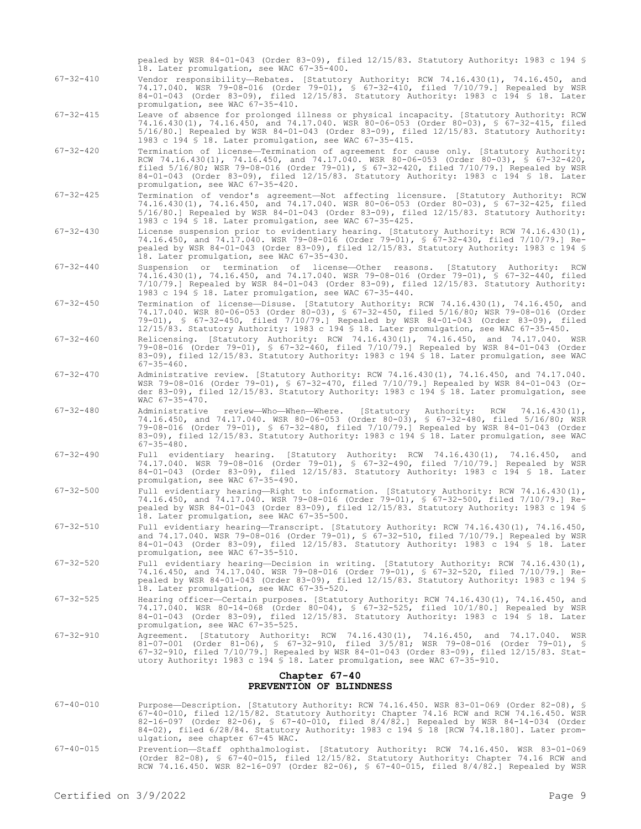pealed by WSR 84-01-043 (Order 83-09), filed 12/15/83. Statutory Authority: 1983 c 194 § 18. Later promulgation, see WAC 67-35-400.

- 67-32-410 Vendor responsibility—Rebates. [Statutory Authority: RCW 74.16.430(1), 74.16.450, and 74.17.040. WSR 79-08-016 (Order 79-01), § 67-32-410, filed 7/10/79.] Repealed by WSR 84-01-043 (Order 83-09), filed 12/15/83. Statutory Authority: 1983 c 194 § 18. Later 84-01-043 (Order 83-09), filed<br>promulgation, see WAC 67-35-410.
- 67-32-415 Leave of absence for prolonged illness or physical incapacity. [Statutory Authority: RCW 74.16.430(1), 74.16.450, and 74.17.040. WSR 80-06-053 (Order 80-03), § 67-32-415, filed 5/16/80.] Repealed by WSR 84-01-043 (Order 83-09), filed 12/15/83. Statutory Authority: 1983 c 194 § 18. Later promulgation, see WAC 67-35-415.
- 67-32-420 Termination of license—Termination of agreement for cause only. [Statutory Authority: RCW 74.16.430(1), 74.16.450, and 74.17.040. WSR 80-06-053 (Order 80-03), § 67-32-420, filed 5/16/80; WSR 79-08-016 (Order 79-01), § 67-32-420, filed 7/10/79.] Repealed by WSR 84-01-043 (Order 83-09), filed 12/15/83. Statutory Authority: 1983 c 194 § 18. Later promulgation, see WAC 67-35-420.
- 67-32-425 Termination of vendor's agreement—Not affecting licensure. [Statutory Authority: RCW 74.16.430(1), 74.16.450, and 74.17.040. WSR 80-06-053 (Order 80-03), § 67-32-425, filed 5/16/80.] Repealed by WSR 84-01-043 (Order 83-09), filed 12/15/83. Statutory Authority: 1983 c 194 § 18. Later promulgation, see WAC 67-35-425.
- 67-32-430 License suspension prior to evidentiary hearing. [Statutory Authority: RCW 74.16.430(1), 74.16.450, and 74.17.040. WSR 79-08-016 (Order 79-01), § 67-32-430, filed 7/10/79.] Repealed by WSR 84-01-043 (Order 83-09), filed 12/15/83. Statutory Authority: 1983 c 194 § 18. Later promulgation, see WAC 67-35-430.
- 67-32-440 Suspension or termination of license—Other reasons. [Statutory Authority: RCW 74.16.430(1), 74.16.450, and 74.17.040. WSR 79-08-016 (Order 79-01), § 67-32-440, filed 7/10/79.] Repealed by WSR 84-01-043 (Order 83-09), filed 12/15/83. Statutory Authority: 1983 c 194 § 18. Later promulgation, see WAC 67-35-440.
- 67-32-450 Termination of license—Disuse. [Statutory Authority: RCW 74.16.430(1), 74.16.450, and 74.17.040. WSR 80-06-053 (Order 80-03), § 67-32-450, filed 5/16/80; WSR 79-08-016 (Order 79-01), § 67-32-450, filed 7/10/79.] Repealed by WSR 84-01-043 (Order 83-09), filed 12/15/83. Statutory Authority: 1983 c 194 § 18. Later promulgation, see WAC 67-35-450.
- 67-32-460 Relicensing. [Statutory Authority: RCW 74.16.430(1), 74.16.450, and 74.17.040. WSR 79-08-016 (Order 79-01), § 67-32-460, filed 7/10/79.] Repealed by WSR 84-01-043 (Order 83-09), filed 12/15/83. Statutory Authority: 1983 c 194 § 18. Later promulgation, see WAC  $67 - 35 - 460$ .
- 67-32-470 Administrative review. [Statutory Authority: RCW 74.16.430(1), 74.16.450, and 74.17.040. WSR 79-08-016 (Order 79-01), § 67-32-470, filed 7/10/79.] Repealed by WSR 84-01-043 (Order 83-09), filed 12/15/83. Statutory Authority: 1983 c 194 § 18. Later promulgation, see WAC 67-35-470.
- 67-32-480 Administrative review—Who—When—Where. [Statutory Authority: RCW 74.16.430(1), 74.16.450, and 74.17.040. WSR 80-06-053 (Order 80-03), § 67-32-480, filed 5/16/80; WSR 79-08-016 (Order 79-01), § 67-32-480, filed 7/10/79.] Repealed by WSR 84-01-043 (Order 83-09), filed 12/15/83. Statutory Authority: 1983 c 194 § 18. Later promulgation, see WAC 67-35-480.
- 67-32-490 Full evidentiary hearing. [Statutory Authority: RCW 74.16.430(1), 74.16.450, and 74.17.040. WSR 79-08-016 (Order 79-01), § 67-32-490, filed 7/10/79.] Repealed by WSR 84-01-043 (Order 83-09), filed 12/15/83. Statutory Authority: 1983 c 194 § 18. Later promulgation, see WAC 67-35-490.
- 67-32-500 Full evidentiary hearing—Right to information. [Statutory Authority: RCW 74.16.430(1), 74.16.450, and 74.17.040. WSR 79-08-016 (Order 79-01), § 67-32-500, filed 7/10/79.] Repealed by WSR 84-01-043 (Order 83-09), filed 12/15/83. Statutory Authority: 1983 c 194 § 18. Later promulgation, see WAC 67-35-500.
- 67-32-510 Full evidentiary hearing—Transcript. [Statutory Authority: RCW 74.16.430(1), 74.16.450, and 74.17.040. WSR 79-08-016 (Order 79-01), § 67-32-510, filed 7/10/79.] Repealed by WSR 84-01-043 (Order 83-09), filed 12/15/83. Statutory Authority: 1983 c 194 § 18. Later promulgation, see WAC 67-35-510.
- 67-32-520 Full evidentiary hearing—Decision in writing. [Statutory Authority: RCW 74.16.430(1), 74.16.450, and 74.17.040. WSR 79-08-016 (Order 79-01), § 67-32-520, filed 7/10/79.] Repealed by WSR 84-01-043 (Order 83-09), filed 12/15/83. Statutory Authority: 1983 c 194 § 18. Later promulgation, see WAC 67-35-520.
- 67-32-525 Hearing officer—Certain purposes. [Statutory Authority: RCW 74.16.430(1), 74.16.450, and 74.17.040. WSR 80-14-068 (Order 80-04), § 67-32-525, filed 10/1/80.] Repealed by WSR 84-01-043 (Order 83-09), filed 12/15/83. Statutory Authority: 1983 c 194 § 18. Later promulgation, see WAC 67-35-525.
- 67-32-910 Agreement. [Statutory Authority: RCW 74.16.430(1), 74.16.450, and 74.17.040. WSR 81-07-001 (Order 81-06), § 67-32-910, filed 3/5/81; WSR 79-08-016 (Order 79-01), § 67-32-910, filed 7/10/79.] Repealed by WSR 84-01-043 (Order 83-09), filed 12/15/83. Statutory Authority: 1983 c 194 § 18. Later promulgation, see WAC 67-35-910.

#### **Chapter 67-40 PREVENTION OF BLINDNESS**

- 67-40-010 Purpose—Description. [Statutory Authority: RCW 74.16.450. WSR 83-01-069 (Order 82-08), § 67-40-010, filed 12/15/82. Statutory Authority: Chapter 74.16 RCW and RCW 74.16.450. WSR 82-16-097 (Order 82-06), § 67-40-010, filed 8/4/82.] Repealed by WSR 84-14-034 (Order 84-02), filed 6/28/84. Statutory Authority: 1983 c 194 § 18 [RCW 74.18.180]. Later promulgation, see chapter 67-45 WAC.
- 67-40-015 Prevention—Staff ophthalmologist. [Statutory Authority: RCW 74.16.450. WSR 83-01-069 (Order 82-08), § 67-40-015, filed 12/15/82. Statutory Authority: Chapter 74.16 RCW and RCW 74.16.450. WSR 82-16-097 (Order 82-06), § 67-40-015, filed 8/4/82.] Repealed by WSR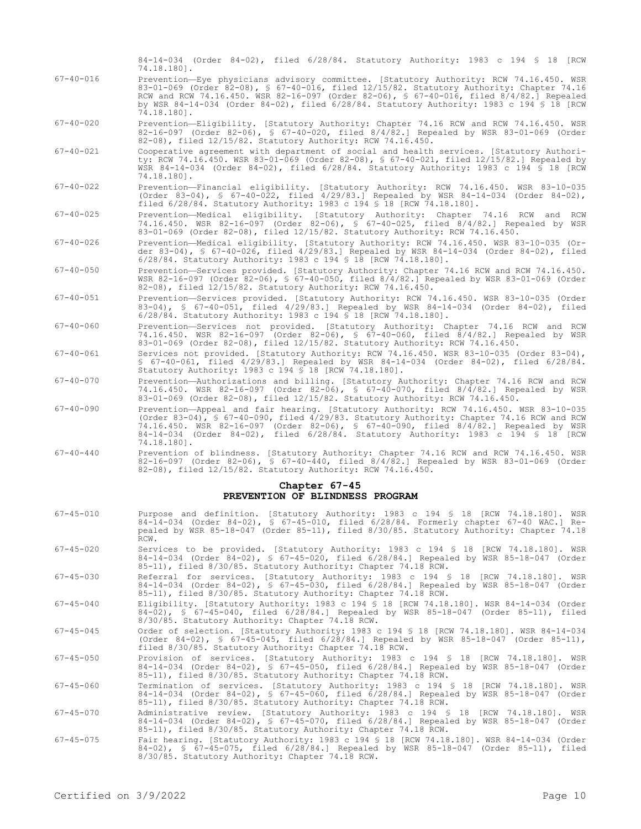| $67 - 40 - 016$ | Prevention-Eye physicians advisory committee. [Statutory Authority: RCW 74.16.450. WSR<br>83-01-069 (Order 82-08), § 67-40-016, filed 12/15/82. Statutory Authority: Chapter 74.16<br>RCW and RCW 74.16.450. WSR 82-16-097 (Order 82-06), § 67-40-016, filed 8/4/82.] Repealed<br>by WSR 84-14-034 (Order 84-02), filed 6/28/84. Statutory Authority: 1983 c 194 § 18 [RCW<br>74.18.1801. |
|-----------------|-------------------------------------------------------------------------------------------------------------------------------------------------------------------------------------------------------------------------------------------------------------------------------------------------------------------------------------------------------------------------------------------|
| $67 - 40 - 020$ | Prevention-Eligibility. [Statutory Authority: Chapter 74.16 RCW and RCW 74.16.450. WSR<br>82-16-097 (Order 82-06), § 67-40-020, filed 8/4/82.] Repealed by WSR 83-01-069 (Order<br>82-08), filed 12/15/82. Statutory Authority: RCW 74.16.450.                                                                                                                                            |
| $67 - 40 - 021$ | Cooperative agreement with department of social and health services. [Statutory Authori-<br>ty: RCW 74.16.450. WSR 83-01-069 (Order 82-08), § 67-40-021, filed 12/15/82.] Repealed by<br>WSR 84-14-034 (Order 84-02), filed 6/28/84. Statutory Authority: 1983 c 194 § 18 [RCW<br>74.18.1801.                                                                                             |
| $67 - 40 - 022$ | Prevention-Financial eligibility. [Statutory Authority: RCW 74.16.450. WSR 83-10-035<br>(Order 83-04), § 67-40-022, filed $4/29/83$ . Repealed by WSR 84-14-034 (Order 84-02),<br>filed 6/28/84. Statutory Authority: 1983 c 194 § 18 [RCW 74.18.180].                                                                                                                                    |
| $67 - 40 - 025$ | Prevention-Medical eligibility. [Statutory Authority: Chapter 74.16 RCW and RCW<br>74.16.450. WSR 82-16-097 (Order 82-06), § 67-40-025, filed 8/4/82.] Repealed by WSR<br>83-01-069 (Order 82-08), filed 12/15/82. Statutory Authority: RCW 74.16.450.                                                                                                                                    |
| $67 - 40 - 026$ | Prevention-Medical eligibility. [Statutory Authority: RCW 74.16.450. WSR 83-10-035 (Or-<br>der 83-04), § 67-40-026, filed 4/29/83.] Repealed by WSR 84-14-034 (Order 84-02), filed<br>6/28/84. Statutory Authority: 1983 c 194 \$ 18 [RCW 74.18.180].                                                                                                                                     |
| $67 - 40 - 050$ | Prevention-Services provided. [Statutory Authority: Chapter 74.16 RCW and RCW 74.16.450.<br>WSR 82-16-097 (Order 82-06), § 67-40-050, filed 8/4/82.] Repealed by WSR 83-01-069 (Order<br>82-08), filed 12/15/82. Statutory Authority: RCW 74.16.450.                                                                                                                                      |
| $67 - 40 - 051$ | Prevention-Services provided. [Statutory Authority: RCW 74.16.450. WSR 83-10-035 (Order<br>83-04), § 67-40-051, filed 4/29/83.1 Repealed by WSR 84-14-034 (Order 84-02), filed<br>6/28/84. Statutory Authority: 1983 c 194 \$ 18 [RCW 74.18.180].                                                                                                                                         |
| $67 - 40 - 060$ | Prevention-Services not provided. [Statutory Authority: Chapter 74.16 RCW and RCW<br>74.16.450. WSR 82-16-097 (Order 82-06), § 67-40-060, filed 8/4/82.] Repealed by WSR<br>83-01-069 (Order 82-08), filed 12/15/82. Statutory Authority: RCW 74.16.450.                                                                                                                                  |
| $67 - 40 - 061$ | Services not provided. [Statutory Authority: RCW 74.16.450. WSR 83-10-035 (Order 83-04),<br>§ 67-40-061, filed 4/29/83.1 Repealed by WSR 84-14-034 (Order 84-02), filed 6/28/84.<br>Statutory Authority: 1983 c 194 \$ 18 [RCW 74.18.180].                                                                                                                                                |
| $67 - 40 - 070$ | Prevention-Authorizations and billing. [Statutory Authority: Chapter 74.16 RCW and RCW<br>74.16.450. WSR 82-16-097 (Order 82-06), § 67-40-070, filed 8/4/82.] Repealed by WSR<br>83-01-069 (Order 82-08), filed 12/15/82. Statutory Authority: RCW 74.16.450.                                                                                                                             |
| $67 - 40 - 090$ | Prevention-Appeal and fair hearing. [Statutory Authority: RCW 74.16.450. WSR 83-10-035<br>(Order 83-04), § 67-40-090, filed 4/29/83. Statutory Authority: Chapter 74.16 RCW and RCW<br>74.16.450. WSR 82-16-097 (Order 82-06), § 67-40-090, filed 8/4/82.] Repealed by WSR<br>84-14-034 (Order 84-02), filed 6/28/84. Statutory Authority: 1983 c 194 § 18 [RCW                           |

84-14-034 (Order 84-02), filed 6/28/84. Statutory Authority: 1983 c 194 § 18 [RCW

74.18.180]. 67-40-440 Prevention of blindness. [Statutory Authority: Chapter 74.16 RCW and RCW 74.16.450. WSR 82-16-097 (Order 82-06), § 67-40-440, filed 8/4/82.] Repealed by WSR 83-01-069 (Order 82-08), filed 12/15/82. Statutory Authority: RCW 74.16.450.

## **Chapter 67-45 PREVENTION OF BLINDNESS PROGRAM**

| $67 - 45 - 010$ | Purpose and definition. [Statutory Authority: 1983 c 194 § 18 [RCW 74.18.180]. WSR<br>84-14-034 (Order 84-02), § 67-45-010, filed 6/28/84. Formerly chapter 67-40 WAC.] Re-<br>pealed by WSR 85-18-047 (Order 85-11), filed 8/30/85. Statutory Authority: Chapter 74.18<br>RCW.                         |
|-----------------|---------------------------------------------------------------------------------------------------------------------------------------------------------------------------------------------------------------------------------------------------------------------------------------------------------|
| $67 - 45 - 020$ | Services to be provided. [Statutory Authority: 1983 c 194 § 18 [RCW 74.18.180]. WSR<br>84-14-034 (Order 84-02), § 67-45-020, filed 6/28/84.] Repealed by WSR 85-18-047 (Order<br>85-11), filed 8/30/85. Statutory Authority: Chapter 74.18 RCW.                                                         |
| $67 - 45 - 030$ | Referral for services. [Statutory Authority: 1983 c 194 § 18 [RCW 74.18.180]. WSR<br>84-14-034 (Order 84-02), § 67-45-030, filed 6/28/84.] Repealed by WSR 85-18-047 (Order<br>85-11), filed 8/30/85. Statutory Authority: Chapter 74.18 RCW.                                                           |
| $67 - 45 - 040$ | Eligibility. [Statutory Authority: 1983 c 194 § 18 [RCW 74.18.180]. WSR 84-14-034 (Order<br>84-02), § 67-45-040, filed 6/28/84.] Repealed by WSR 85-18-047 (Order 85-11), filed<br>8/30/85. Statutory Authority: Chapter 74.18 RCW.                                                                     |
| $67 - 45 - 045$ | Order of selection. [Statutory Authority: 1983 c 194 \$ 18 [RCW 74.18.180]. WSR 84-14-034<br>$(Order 84-02)$ , § 67-45-045, filed 6/28/84.] Repealed by WSR 85-18-047 (Order 85-11),<br>filed 8/30/85. Statutory Authority: Chapter 74.18 RCW.                                                          |
| $67 - 45 - 050$ | Provision of services. [Statutory Authority: 1983 c 194 § 18 [RCW 74.18.180]. WSR<br>84-14-034 (Order 84-02), § 67-45-050, filed 6/28/84.] Repealed by WSR 85-18-047 (Order<br>85-11), filed 8/30/85. Statutory Authority: Chapter 74.18 RCW.                                                           |
| $67 - 45 - 060$ | Termination of services. [Statutory Authority: 1983 c 194 § 18 [RCW 74.18.180]. WSR<br>84-14-034 (Order 84-02), § 67-45-060, filed 6/28/84.] Repealed by WSR 85-18-047 (Order<br>85-11), filed 8/30/85. Statutory Authority: Chapter 74.18 RCW.                                                         |
| $67 - 45 - 070$ | Administrative review. [Statutory Authority: 1983 c 194 § 18 [RCW 74.18.180]. WSR<br>84-14-034 (Order 84-02), § 67-45-070, filed 6/28/84.] Repealed by WSR 85-18-047 (Order<br>85-11), filed 8/30/85. Statutory Authority: Chapter 74.18 RCW.                                                           |
| $CD = AE = OPE$ | $\pi$ , $\pi$ , $\pi$ , $\pi$ , $\pi$ , $\pi$ , $\pi$ , $\pi$ , $\pi$ , $\pi$ , $\pi$ , $\pi$ , $\pi$ , $\pi$ , $\pi$ , $\pi$ , $\pi$ , $\pi$ , $\pi$ , $\pi$ , $\pi$ , $\pi$ , $\pi$ , $\pi$ , $\pi$ , $\pi$ , $\pi$ , $\pi$ , $\pi$ , $\pi$ , $\pi$ , $\pi$ , $\pi$ , $\pi$ , $\pi$ , $\pi$ , $\pi$ , |

67-45-075 Fair hearing. [Statutory Authority: 1983 c 194 § 18 [RCW 74.18.180]. WSR 84-14-034 (Order 84-02), § 67-45-075, filed 6/28/84.] Repealed by WSR 85-18-047 (Order 85-11), filed 8/30/85. Statutory Authority: Chapter 74.18 RCW.

74.18.180].